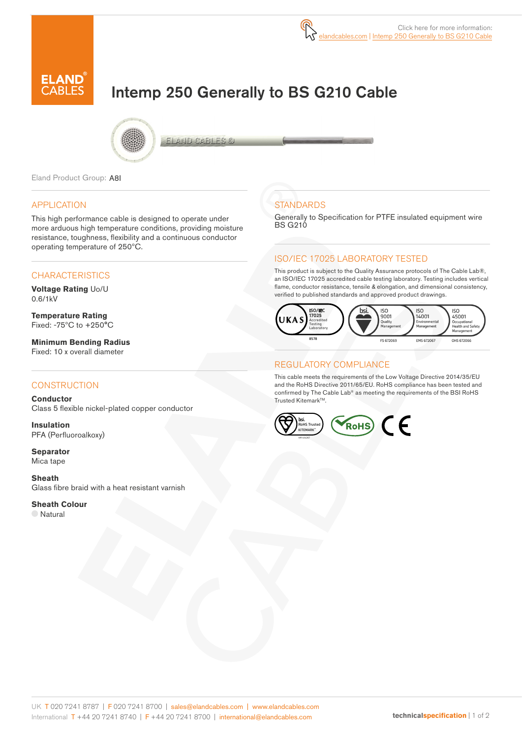

# Intemp 250 Generally to BS G210 Cable



FLACID CAFILES C

Eland Product Group: A8I

#### APPLICATION

This high performance cable is designed to operate under more arduous high temperature conditions, providing moisture resistance, toughness, flexibility and a continuous conductor operating temperature of 250ºC.

### **CHARACTERISTICS**

**Voltage Rating** Uo/U 0.6/1kV

**Temperature Rating** Fixed: -75ºC to +250°C

**Minimum Bending Radius**  Fixed: 10 x overall diameter

### **CONSTRUCTION**

**Conductor** Class 5 flexible nickel-plated copper conductor

**Insulation** PFA (Perfluoroalkoxy)

**Separator** Mica tape

**Sheath** Glass fibre braid with a heat resistant varnish

#### **Sheath Colour**

Natural

## **STANDARDS**

Generally to Specification for PTFE insulated equipment wire **BS G210** 

### ISO/IEC 17025 LABORATORY TESTED

This product is subject to the Quality Assurance protocols of The Cable Lab®, an ISO/IEC 17025 accredited cable testing laboratory. Testing includes vertical flame, conductor resistance, tensile & elongation, and dimensional consistency, verified to published standards and approved product drawings.



#### REGULATORY COMPLIANCE

This cable meets the requirements of the Low Voltage Directive 2014/35/EU and the RoHS Directive 2011/65/EU. RoHS compliance has been tested and confirmed by The Cable Lab® as meeting the requirements of the BSI RoHS Trusted Kitemark™.